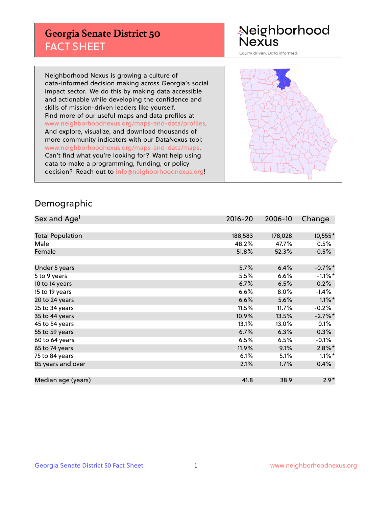## **Georgia Senate District 50** FACT SHEET

# Neighborhood<br>Nexus

Equity driven. Data informed.

Neighborhood Nexus is growing a culture of data-informed decision making across Georgia's social impact sector. We do this by making data accessible and actionable while developing the confidence and skills of mission-driven leaders like yourself. Find more of our useful maps and data profiles at www.neighborhoodnexus.org/maps-and-data/profiles. And explore, visualize, and download thousands of more community indicators with our DataNexus tool: www.neighborhoodnexus.org/maps-and-data/maps. Can't find what you're looking for? Want help using data to make a programming, funding, or policy decision? Reach out to [info@neighborhoodnexus.org!](mailto:info@neighborhoodnexus.org)



### Demographic

| Sex and Age <sup>1</sup> | $2016 - 20$ | 2006-10 | Change     |
|--------------------------|-------------|---------|------------|
|                          |             |         |            |
| <b>Total Population</b>  | 188,583     | 178,028 | 10,555*    |
| Male                     | 48.2%       | 47.7%   | 0.5%       |
| Female                   | 51.8%       | 52.3%   | $-0.5%$    |
|                          |             |         |            |
| Under 5 years            | 5.7%        | 6.4%    | $-0.7%$ *  |
| 5 to 9 years             | 5.5%        | 6.6%    | $-1.1\%$ * |
| 10 to 14 years           | 6.7%        | 6.5%    | 0.2%       |
| 15 to 19 years           | 6.6%        | 8.0%    | $-1.4%$    |
| 20 to 24 years           | 6.6%        | 5.6%    | $1.1\%$ *  |
| 25 to 34 years           | 11.5%       | 11.7%   | $-0.2%$    |
| 35 to 44 years           | 10.9%       | 13.5%   | $-2.7\%$ * |
| 45 to 54 years           | 13.1%       | 13.0%   | 0.1%       |
| 55 to 59 years           | 6.7%        | 6.3%    | 0.3%       |
| 60 to 64 years           | 6.5%        | 6.5%    | $-0.1\%$   |
| 65 to 74 years           | 11.9%       | 9.1%    | $2.8\%$ *  |
| 75 to 84 years           | 6.1%        | 5.1%    | $1.1\%$ *  |
| 85 years and over        | 2.1%        | 1.7%    | 0.4%       |
|                          |             |         |            |
| Median age (years)       | 41.8        | 38.9    | $2.9*$     |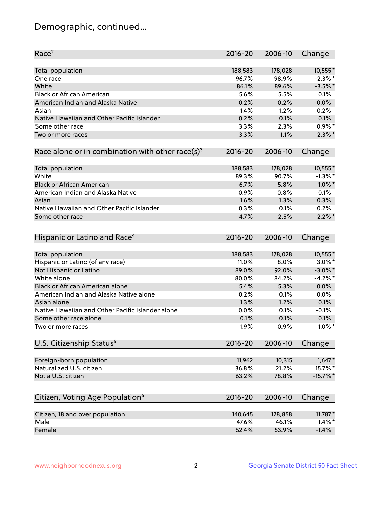## Demographic, continued...

| Race <sup>2</sup>                                            | $2016 - 20$ | 2006-10 | Change      |
|--------------------------------------------------------------|-------------|---------|-------------|
| <b>Total population</b>                                      | 188,583     | 178,028 | 10,555*     |
| One race                                                     | 96.7%       | 98.9%   | $-2.3\%$ *  |
| White                                                        | 86.1%       | 89.6%   | $-3.5%$ *   |
| <b>Black or African American</b>                             | 5.6%        | 5.5%    | 0.1%        |
| American Indian and Alaska Native                            | 0.2%        | 0.2%    | $-0.0%$     |
| Asian                                                        | 1.4%        | 1.2%    | 0.2%        |
| Native Hawaiian and Other Pacific Islander                   | 0.2%        | 0.1%    | 0.1%        |
| Some other race                                              | 3.3%        | 2.3%    | $0.9\%$ *   |
| Two or more races                                            | 3.3%        | 1.1%    | $2.3\%$ *   |
| Race alone or in combination with other race(s) <sup>3</sup> | $2016 - 20$ | 2006-10 | Change      |
| Total population                                             | 188,583     | 178,028 | 10,555*     |
| White                                                        | 89.3%       | 90.7%   | $-1.3\%$ *  |
| <b>Black or African American</b>                             | 6.7%        | 5.8%    | $1.0\%$ *   |
| American Indian and Alaska Native                            | 0.9%        | 0.8%    | 0.1%        |
| Asian                                                        | 1.6%        | 1.3%    | 0.3%        |
| Native Hawaiian and Other Pacific Islander                   |             |         |             |
|                                                              | 0.3%        | 0.1%    | 0.2%        |
| Some other race                                              | 4.7%        | 2.5%    | $2.2\%$ *   |
| Hispanic or Latino and Race <sup>4</sup>                     | $2016 - 20$ | 2006-10 | Change      |
| Total population                                             | 188,583     | 178,028 | 10,555*     |
| Hispanic or Latino (of any race)                             | 11.0%       | 8.0%    | $3.0\%$ *   |
| Not Hispanic or Latino                                       | 89.0%       | 92.0%   | $-3.0\%$ *  |
| White alone                                                  | 80.0%       | 84.2%   | $-4.2%$     |
| Black or African American alone                              | 5.4%        | 5.3%    | 0.0%        |
| American Indian and Alaska Native alone                      | 0.2%        | 0.1%    | 0.0%        |
| Asian alone                                                  | 1.3%        | 1.2%    | 0.1%        |
| Native Hawaiian and Other Pacific Islander alone             | 0.0%        | 0.1%    | $-0.1%$     |
| Some other race alone                                        | 0.1%        | 0.1%    | 0.1%        |
| Two or more races                                            | 1.9%        | 0.9%    | $1.0\%$ *   |
| U.S. Citizenship Status <sup>5</sup>                         | $2016 - 20$ | 2006-10 | Change      |
|                                                              |             |         |             |
| Foreign-born population                                      | 11,962      | 10,315  | $1,647*$    |
| Naturalized U.S. citizen                                     | 36.8%       | 21.2%   | 15.7%*      |
| Not a U.S. citizen                                           | 63.2%       | 78.8%   | $-15.7\%$ * |
|                                                              |             |         |             |
| Citizen, Voting Age Population <sup>6</sup>                  | 2016-20     | 2006-10 | Change      |
| Citizen, 18 and over population                              | 140,645     | 128,858 | 11,787*     |
| Male                                                         | 47.6%       | 46.1%   | $1.4\%$ *   |
| Female                                                       | 52.4%       | 53.9%   | $-1.4%$     |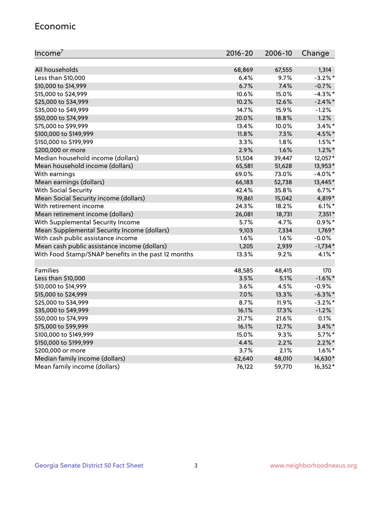#### Economic

| Income <sup>7</sup>                                 | $2016 - 20$ | 2006-10 | Change     |
|-----------------------------------------------------|-------------|---------|------------|
|                                                     |             |         |            |
| All households                                      | 68,869      | 67,555  | 1,314      |
| Less than \$10,000                                  | 6.4%        | 9.7%    | $-3.2\%$ * |
| \$10,000 to \$14,999                                | 6.7%        | 7.4%    | $-0.7%$    |
| \$15,000 to \$24,999                                | 10.6%       | 15.0%   | $-4.3\%$ * |
| \$25,000 to \$34,999                                | 10.2%       | 12.6%   | $-2.4\%$ * |
| \$35,000 to \$49,999                                | 14.7%       | 15.9%   | $-1.2%$    |
| \$50,000 to \$74,999                                | 20.0%       | 18.8%   | 1.2%       |
| \$75,000 to \$99,999                                | 13.4%       | 10.0%   | $3.4\%$ *  |
| \$100,000 to \$149,999                              | 11.8%       | 7.3%    | 4.5%*      |
| \$150,000 to \$199,999                              | $3.3\%$     | 1.8%    | $1.5%$ *   |
| \$200,000 or more                                   | 2.9%        | 1.6%    | $1.2\%$ *  |
| Median household income (dollars)                   | 51,504      | 39,447  | 12,057*    |
| Mean household income (dollars)                     | 65,581      | 51,628  | 13,953*    |
| With earnings                                       | 69.0%       | 73.0%   | $-4.0\%$ * |
| Mean earnings (dollars)                             | 66,183      | 52,738  | 13,445*    |
| <b>With Social Security</b>                         | 42.4%       | 35.8%   | $6.7%$ *   |
| Mean Social Security income (dollars)               | 19,861      | 15,042  | 4,819*     |
| With retirement income                              | 24.3%       | 18.2%   | $6.1\%$ *  |
| Mean retirement income (dollars)                    | 26,081      | 18,731  | $7,351*$   |
| With Supplemental Security Income                   | 5.7%        | 4.7%    | $0.9\%$ *  |
| Mean Supplemental Security Income (dollars)         | 9,103       | 7,334   | 1,769*     |
| With cash public assistance income                  | 1.6%        | 1.6%    | $-0.0%$    |
| Mean cash public assistance income (dollars)        | 1,205       | 2,939   | $-1,734*$  |
| With Food Stamp/SNAP benefits in the past 12 months | 13.3%       | 9.2%    | $4.1\%$ *  |
|                                                     |             |         |            |
| Families                                            | 48,585      | 48,415  | 170        |
| Less than \$10,000                                  | 3.5%        | 5.1%    | $-1.6\%$ * |
| \$10,000 to \$14,999                                | 3.6%        | 4.5%    | $-0.9%$    |
| \$15,000 to \$24,999                                | 7.0%        | 13.3%   | $-6.3\%$ * |
| \$25,000 to \$34,999                                | 8.7%        | 11.9%   | $-3.2\%$ * |
| \$35,000 to \$49,999                                | 16.1%       | 17.3%   | $-1.2%$    |
| \$50,000 to \$74,999                                | 21.7%       | 21.6%   | 0.1%       |
| \$75,000 to \$99,999                                | 16.1%       | 12.7%   | $3.4\%$ *  |
| \$100,000 to \$149,999                              | 15.0%       | 9.3%    | $5.7\%$ *  |
| \$150,000 to \$199,999                              | 4.4%        | 2.2%    | $2.2\%$ *  |
| \$200,000 or more                                   | 3.7%        | 2.1%    | $1.6\%$ *  |
| Median family income (dollars)                      | 62,640      | 48,010  | 14,630*    |
| Mean family income (dollars)                        | 76,122      | 59,770  | 16,352*    |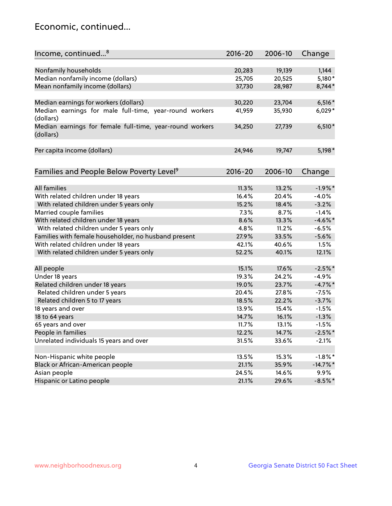## Economic, continued...

| Nonfamily households<br>19,139<br>1,144<br>20,283<br>Median nonfamily income (dollars)<br>5,180*<br>25,705<br>20,525<br>Mean nonfamily income (dollars)<br>8,744*<br>37,730<br>28,987<br>Median earnings for workers (dollars)<br>$6,516*$<br>30,220<br>23,704<br>Median earnings for male full-time, year-round workers<br>35,930<br>$6,029*$<br>41,959<br>(dollars)<br>Median earnings for female full-time, year-round workers<br>$6,510*$<br>27,739<br>34,250<br>(dollars)<br>5,198*<br>Per capita income (dollars)<br>24,946<br>19,747<br>Families and People Below Poverty Level <sup>9</sup><br>$2016 - 20$<br>Change<br>2006-10<br><b>All families</b><br>$-1.9%$ *<br>11.3%<br>13.2%<br>With related children under 18 years<br>16.4%<br>20.4%<br>$-4.0%$<br>With related children under 5 years only<br>15.2%<br>18.4%<br>$-3.2%$<br>7.3%<br>$-1.4%$<br>Married couple families<br>8.7%<br>With related children under 18 years<br>$-4.6\%$ *<br>8.6%<br>13.3%<br>With related children under 5 years only<br>4.8%<br>11.2%<br>$-6.5%$<br>Families with female householder, no husband present<br>27.9%<br>33.5%<br>$-5.6%$<br>With related children under 18 years<br>42.1%<br>40.6%<br>1.5%<br>12.1%<br>With related children under 5 years only<br>52.2%<br>40.1%<br>15.1%<br>17.6%<br>$-2.5%$ *<br>All people<br>Under 18 years<br>$-4.9%$<br>19.3%<br>24.2%<br>$-4.7%$ *<br>Related children under 18 years<br>19.0%<br>23.7%<br>Related children under 5 years<br>20.4%<br>27.8%<br>$-7.5%$<br>Related children 5 to 17 years<br>18.5%<br>$-3.7%$<br>22.2%<br>18 years and over<br>13.9%<br>15.4%<br>$-1.5%$<br>14.7%<br>18 to 64 years<br>16.1%<br>$-1.3%$<br>65 years and over<br>11.7%<br>13.1%<br>$-1.5%$<br>$-2.5%$ *<br>People in families<br>12.2%<br>14.7%<br>Unrelated individuals 15 years and over<br>31.5%<br>33.6%<br>$-2.1%$ | Income, continued <sup>8</sup> | $2016 - 20$ | 2006-10 | Change     |
|------------------------------------------------------------------------------------------------------------------------------------------------------------------------------------------------------------------------------------------------------------------------------------------------------------------------------------------------------------------------------------------------------------------------------------------------------------------------------------------------------------------------------------------------------------------------------------------------------------------------------------------------------------------------------------------------------------------------------------------------------------------------------------------------------------------------------------------------------------------------------------------------------------------------------------------------------------------------------------------------------------------------------------------------------------------------------------------------------------------------------------------------------------------------------------------------------------------------------------------------------------------------------------------------------------------------------------------------------------------------------------------------------------------------------------------------------------------------------------------------------------------------------------------------------------------------------------------------------------------------------------------------------------------------------------------------------------------------------------------------------------------------------------------------------------------------------------------------------------|--------------------------------|-------------|---------|------------|
|                                                                                                                                                                                                                                                                                                                                                                                                                                                                                                                                                                                                                                                                                                                                                                                                                                                                                                                                                                                                                                                                                                                                                                                                                                                                                                                                                                                                                                                                                                                                                                                                                                                                                                                                                                                                                                                            |                                |             |         |            |
|                                                                                                                                                                                                                                                                                                                                                                                                                                                                                                                                                                                                                                                                                                                                                                                                                                                                                                                                                                                                                                                                                                                                                                                                                                                                                                                                                                                                                                                                                                                                                                                                                                                                                                                                                                                                                                                            |                                |             |         |            |
|                                                                                                                                                                                                                                                                                                                                                                                                                                                                                                                                                                                                                                                                                                                                                                                                                                                                                                                                                                                                                                                                                                                                                                                                                                                                                                                                                                                                                                                                                                                                                                                                                                                                                                                                                                                                                                                            |                                |             |         |            |
|                                                                                                                                                                                                                                                                                                                                                                                                                                                                                                                                                                                                                                                                                                                                                                                                                                                                                                                                                                                                                                                                                                                                                                                                                                                                                                                                                                                                                                                                                                                                                                                                                                                                                                                                                                                                                                                            |                                |             |         |            |
|                                                                                                                                                                                                                                                                                                                                                                                                                                                                                                                                                                                                                                                                                                                                                                                                                                                                                                                                                                                                                                                                                                                                                                                                                                                                                                                                                                                                                                                                                                                                                                                                                                                                                                                                                                                                                                                            |                                |             |         |            |
|                                                                                                                                                                                                                                                                                                                                                                                                                                                                                                                                                                                                                                                                                                                                                                                                                                                                                                                                                                                                                                                                                                                                                                                                                                                                                                                                                                                                                                                                                                                                                                                                                                                                                                                                                                                                                                                            |                                |             |         |            |
|                                                                                                                                                                                                                                                                                                                                                                                                                                                                                                                                                                                                                                                                                                                                                                                                                                                                                                                                                                                                                                                                                                                                                                                                                                                                                                                                                                                                                                                                                                                                                                                                                                                                                                                                                                                                                                                            |                                |             |         |            |
|                                                                                                                                                                                                                                                                                                                                                                                                                                                                                                                                                                                                                                                                                                                                                                                                                                                                                                                                                                                                                                                                                                                                                                                                                                                                                                                                                                                                                                                                                                                                                                                                                                                                                                                                                                                                                                                            |                                |             |         |            |
|                                                                                                                                                                                                                                                                                                                                                                                                                                                                                                                                                                                                                                                                                                                                                                                                                                                                                                                                                                                                                                                                                                                                                                                                                                                                                                                                                                                                                                                                                                                                                                                                                                                                                                                                                                                                                                                            |                                |             |         |            |
|                                                                                                                                                                                                                                                                                                                                                                                                                                                                                                                                                                                                                                                                                                                                                                                                                                                                                                                                                                                                                                                                                                                                                                                                                                                                                                                                                                                                                                                                                                                                                                                                                                                                                                                                                                                                                                                            |                                |             |         |            |
|                                                                                                                                                                                                                                                                                                                                                                                                                                                                                                                                                                                                                                                                                                                                                                                                                                                                                                                                                                                                                                                                                                                                                                                                                                                                                                                                                                                                                                                                                                                                                                                                                                                                                                                                                                                                                                                            |                                |             |         |            |
|                                                                                                                                                                                                                                                                                                                                                                                                                                                                                                                                                                                                                                                                                                                                                                                                                                                                                                                                                                                                                                                                                                                                                                                                                                                                                                                                                                                                                                                                                                                                                                                                                                                                                                                                                                                                                                                            |                                |             |         |            |
|                                                                                                                                                                                                                                                                                                                                                                                                                                                                                                                                                                                                                                                                                                                                                                                                                                                                                                                                                                                                                                                                                                                                                                                                                                                                                                                                                                                                                                                                                                                                                                                                                                                                                                                                                                                                                                                            |                                |             |         |            |
|                                                                                                                                                                                                                                                                                                                                                                                                                                                                                                                                                                                                                                                                                                                                                                                                                                                                                                                                                                                                                                                                                                                                                                                                                                                                                                                                                                                                                                                                                                                                                                                                                                                                                                                                                                                                                                                            |                                |             |         |            |
|                                                                                                                                                                                                                                                                                                                                                                                                                                                                                                                                                                                                                                                                                                                                                                                                                                                                                                                                                                                                                                                                                                                                                                                                                                                                                                                                                                                                                                                                                                                                                                                                                                                                                                                                                                                                                                                            |                                |             |         |            |
|                                                                                                                                                                                                                                                                                                                                                                                                                                                                                                                                                                                                                                                                                                                                                                                                                                                                                                                                                                                                                                                                                                                                                                                                                                                                                                                                                                                                                                                                                                                                                                                                                                                                                                                                                                                                                                                            |                                |             |         |            |
|                                                                                                                                                                                                                                                                                                                                                                                                                                                                                                                                                                                                                                                                                                                                                                                                                                                                                                                                                                                                                                                                                                                                                                                                                                                                                                                                                                                                                                                                                                                                                                                                                                                                                                                                                                                                                                                            |                                |             |         |            |
|                                                                                                                                                                                                                                                                                                                                                                                                                                                                                                                                                                                                                                                                                                                                                                                                                                                                                                                                                                                                                                                                                                                                                                                                                                                                                                                                                                                                                                                                                                                                                                                                                                                                                                                                                                                                                                                            |                                |             |         |            |
|                                                                                                                                                                                                                                                                                                                                                                                                                                                                                                                                                                                                                                                                                                                                                                                                                                                                                                                                                                                                                                                                                                                                                                                                                                                                                                                                                                                                                                                                                                                                                                                                                                                                                                                                                                                                                                                            |                                |             |         |            |
|                                                                                                                                                                                                                                                                                                                                                                                                                                                                                                                                                                                                                                                                                                                                                                                                                                                                                                                                                                                                                                                                                                                                                                                                                                                                                                                                                                                                                                                                                                                                                                                                                                                                                                                                                                                                                                                            |                                |             |         |            |
|                                                                                                                                                                                                                                                                                                                                                                                                                                                                                                                                                                                                                                                                                                                                                                                                                                                                                                                                                                                                                                                                                                                                                                                                                                                                                                                                                                                                                                                                                                                                                                                                                                                                                                                                                                                                                                                            |                                |             |         |            |
|                                                                                                                                                                                                                                                                                                                                                                                                                                                                                                                                                                                                                                                                                                                                                                                                                                                                                                                                                                                                                                                                                                                                                                                                                                                                                                                                                                                                                                                                                                                                                                                                                                                                                                                                                                                                                                                            |                                |             |         |            |
|                                                                                                                                                                                                                                                                                                                                                                                                                                                                                                                                                                                                                                                                                                                                                                                                                                                                                                                                                                                                                                                                                                                                                                                                                                                                                                                                                                                                                                                                                                                                                                                                                                                                                                                                                                                                                                                            |                                |             |         |            |
|                                                                                                                                                                                                                                                                                                                                                                                                                                                                                                                                                                                                                                                                                                                                                                                                                                                                                                                                                                                                                                                                                                                                                                                                                                                                                                                                                                                                                                                                                                                                                                                                                                                                                                                                                                                                                                                            |                                |             |         |            |
|                                                                                                                                                                                                                                                                                                                                                                                                                                                                                                                                                                                                                                                                                                                                                                                                                                                                                                                                                                                                                                                                                                                                                                                                                                                                                                                                                                                                                                                                                                                                                                                                                                                                                                                                                                                                                                                            |                                |             |         |            |
|                                                                                                                                                                                                                                                                                                                                                                                                                                                                                                                                                                                                                                                                                                                                                                                                                                                                                                                                                                                                                                                                                                                                                                                                                                                                                                                                                                                                                                                                                                                                                                                                                                                                                                                                                                                                                                                            |                                |             |         |            |
|                                                                                                                                                                                                                                                                                                                                                                                                                                                                                                                                                                                                                                                                                                                                                                                                                                                                                                                                                                                                                                                                                                                                                                                                                                                                                                                                                                                                                                                                                                                                                                                                                                                                                                                                                                                                                                                            |                                |             |         |            |
|                                                                                                                                                                                                                                                                                                                                                                                                                                                                                                                                                                                                                                                                                                                                                                                                                                                                                                                                                                                                                                                                                                                                                                                                                                                                                                                                                                                                                                                                                                                                                                                                                                                                                                                                                                                                                                                            |                                |             |         |            |
|                                                                                                                                                                                                                                                                                                                                                                                                                                                                                                                                                                                                                                                                                                                                                                                                                                                                                                                                                                                                                                                                                                                                                                                                                                                                                                                                                                                                                                                                                                                                                                                                                                                                                                                                                                                                                                                            |                                |             |         |            |
|                                                                                                                                                                                                                                                                                                                                                                                                                                                                                                                                                                                                                                                                                                                                                                                                                                                                                                                                                                                                                                                                                                                                                                                                                                                                                                                                                                                                                                                                                                                                                                                                                                                                                                                                                                                                                                                            |                                |             |         |            |
|                                                                                                                                                                                                                                                                                                                                                                                                                                                                                                                                                                                                                                                                                                                                                                                                                                                                                                                                                                                                                                                                                                                                                                                                                                                                                                                                                                                                                                                                                                                                                                                                                                                                                                                                                                                                                                                            |                                |             |         |            |
|                                                                                                                                                                                                                                                                                                                                                                                                                                                                                                                                                                                                                                                                                                                                                                                                                                                                                                                                                                                                                                                                                                                                                                                                                                                                                                                                                                                                                                                                                                                                                                                                                                                                                                                                                                                                                                                            |                                |             |         |            |
|                                                                                                                                                                                                                                                                                                                                                                                                                                                                                                                                                                                                                                                                                                                                                                                                                                                                                                                                                                                                                                                                                                                                                                                                                                                                                                                                                                                                                                                                                                                                                                                                                                                                                                                                                                                                                                                            | Non-Hispanic white people      | 13.5%       | 15.3%   | $-1.8\%$ * |
| Black or African-American people<br>21.1%<br>35.9%<br>$-14.7\%$ *                                                                                                                                                                                                                                                                                                                                                                                                                                                                                                                                                                                                                                                                                                                                                                                                                                                                                                                                                                                                                                                                                                                                                                                                                                                                                                                                                                                                                                                                                                                                                                                                                                                                                                                                                                                          |                                |             |         |            |
| Asian people<br>9.9%<br>24.5%<br>14.6%                                                                                                                                                                                                                                                                                                                                                                                                                                                                                                                                                                                                                                                                                                                                                                                                                                                                                                                                                                                                                                                                                                                                                                                                                                                                                                                                                                                                                                                                                                                                                                                                                                                                                                                                                                                                                     |                                |             |         |            |
| $-8.5\%$ *<br>Hispanic or Latino people<br>21.1%<br>29.6%                                                                                                                                                                                                                                                                                                                                                                                                                                                                                                                                                                                                                                                                                                                                                                                                                                                                                                                                                                                                                                                                                                                                                                                                                                                                                                                                                                                                                                                                                                                                                                                                                                                                                                                                                                                                  |                                |             |         |            |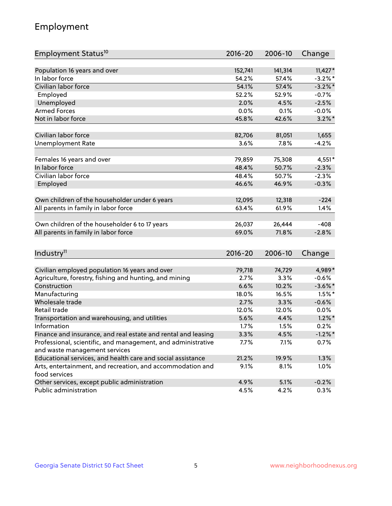## Employment

| Employment Status <sup>10</sup>                                             | 2016-20     | 2006-10 | Change     |
|-----------------------------------------------------------------------------|-------------|---------|------------|
|                                                                             |             |         |            |
| Population 16 years and over<br>In labor force                              | 152,741     | 141,314 | $11,427*$  |
| Civilian labor force                                                        | 54.2%       | 57.4%   | $-3.2\%$ * |
|                                                                             | 54.1%       | 57.4%   | $-3.2\%$ * |
| Employed                                                                    | 52.2%       | 52.9%   | $-0.7%$    |
| Unemployed                                                                  | 2.0%        | 4.5%    | $-2.5%$    |
| <b>Armed Forces</b>                                                         | 0.0%        | 0.1%    | $-0.0%$    |
| Not in labor force                                                          | 45.8%       | 42.6%   | $3.2\%$ *  |
| Civilian labor force                                                        | 82,706      | 81,051  | 1,655      |
| <b>Unemployment Rate</b>                                                    | 3.6%        | 7.8%    | $-4.2%$    |
|                                                                             |             |         |            |
| Females 16 years and over                                                   | 79,859      | 75,308  | $4,551*$   |
| In labor force                                                              | 48.4%       | 50.7%   | $-2.3%$    |
| Civilian labor force                                                        | 48.4%       | 50.7%   | $-2.3%$    |
| Employed                                                                    | 46.6%       | 46.9%   | $-0.3%$    |
| Own children of the householder under 6 years                               | 12,095      | 12,318  | $-224$     |
|                                                                             | 63.4%       | 61.9%   | 1.4%       |
| All parents in family in labor force                                        |             |         |            |
| Own children of the householder 6 to 17 years                               | 26,037      | 26,444  | $-408$     |
| All parents in family in labor force                                        | 69.0%       | 71.8%   | $-2.8%$    |
|                                                                             |             |         |            |
| Industry <sup>11</sup>                                                      | $2016 - 20$ | 2006-10 | Change     |
|                                                                             |             |         |            |
| Civilian employed population 16 years and over                              | 79,718      | 74,729  | 4,989*     |
| Agriculture, forestry, fishing and hunting, and mining                      | 2.7%        | 3.3%    | $-0.6%$    |
| Construction                                                                | 6.6%        | 10.2%   | $-3.6\%$ * |
| Manufacturing                                                               | 18.0%       | 16.5%   | $1.5%$ *   |
| Wholesale trade                                                             | 2.7%        | 3.3%    | $-0.6%$    |
| Retail trade                                                                | 12.0%       | 12.0%   | 0.0%       |
| Transportation and warehousing, and utilities                               | 5.6%        | 4.4%    | $1.2\%$ *  |
| Information                                                                 | 1.7%        | 1.5%    | 0.2%       |
| Finance and insurance, and real estate and rental and leasing               | 3.3%        | 4.5%    | $-1.2\%$ * |
| Professional, scientific, and management, and administrative                | 7.7%        | 7.1%    | 0.7%       |
| and waste management services                                               |             |         |            |
| Educational services, and health care and social assistance                 | 21.2%       | 19.9%   | 1.3%       |
| Arts, entertainment, and recreation, and accommodation and<br>food services | 9.1%        | 8.1%    | 1.0%       |
| Other services, except public administration                                | 4.9%        | 5.1%    | $-0.2%$    |
| Public administration                                                       | 4.5%        | 4.2%    | 0.3%       |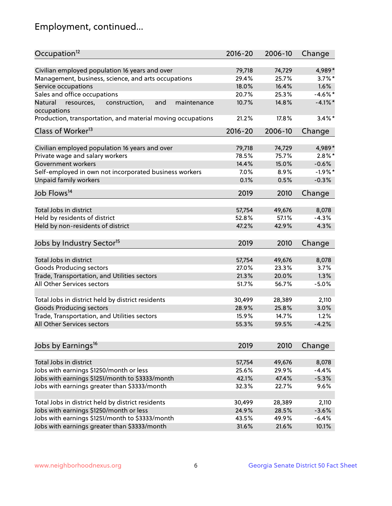## Employment, continued...

| Occupation <sup>12</sup>                                     | $2016 - 20$ | 2006-10 | Change     |
|--------------------------------------------------------------|-------------|---------|------------|
| Civilian employed population 16 years and over               | 79,718      | 74,729  | 4,989*     |
| Management, business, science, and arts occupations          | 29.4%       | 25.7%   | $3.7\%$ *  |
| Service occupations                                          | 18.0%       | 16.4%   | 1.6%       |
| Sales and office occupations                                 | 20.7%       | 25.3%   | $-4.6\%$ * |
| and<br>Natural<br>resources,<br>construction,<br>maintenance | 10.7%       | 14.8%   | $-4.1\%$ * |
| occupations                                                  |             |         |            |
| Production, transportation, and material moving occupations  | 21.2%       | 17.8%   | $3.4\%$ *  |
| Class of Worker <sup>13</sup>                                | $2016 - 20$ | 2006-10 | Change     |
|                                                              |             |         |            |
| Civilian employed population 16 years and over               | 79,718      | 74,729  | 4,989*     |
| Private wage and salary workers                              | 78.5%       | 75.7%   | $2.8\%$ *  |
| Government workers                                           | 14.4%       | 15.0%   | $-0.6%$    |
| Self-employed in own not incorporated business workers       | 7.0%        | 8.9%    | $-1.9%$ *  |
| Unpaid family workers                                        | 0.1%        | 0.5%    | $-0.3%$    |
| Job Flows <sup>14</sup>                                      | 2019        | 2010    | Change     |
|                                                              |             |         |            |
| Total Jobs in district                                       | 57,754      | 49,676  | 8,078      |
| Held by residents of district                                | 52.8%       | 57.1%   | $-4.3%$    |
| Held by non-residents of district                            | 47.2%       | 42.9%   | 4.3%       |
| Jobs by Industry Sector <sup>15</sup>                        | 2019        | 2010    | Change     |
|                                                              |             |         |            |
| Total Jobs in district                                       | 57,754      | 49,676  | 8,078      |
| Goods Producing sectors                                      | 27.0%       | 23.3%   | 3.7%       |
| Trade, Transportation, and Utilities sectors                 | 21.3%       | 20.0%   | 1.3%       |
| All Other Services sectors                                   | 51.7%       | 56.7%   | $-5.0%$    |
| Total Jobs in district held by district residents            | 30,499      | 28,389  | 2,110      |
| <b>Goods Producing sectors</b>                               | 28.9%       | 25.8%   | 3.0%       |
| Trade, Transportation, and Utilities sectors                 | 15.9%       | 14.7%   | 1.2%       |
| All Other Services sectors                                   | 55.3%       | 59.5%   | $-4.2%$    |
|                                                              |             |         |            |
| Jobs by Earnings <sup>16</sup>                               | 2019        | 2010    | Change     |
|                                                              |             |         |            |
| Total Jobs in district                                       | 57,754      | 49,676  | 8,078      |
| Jobs with earnings \$1250/month or less                      | 25.6%       | 29.9%   | $-4.4%$    |
| Jobs with earnings \$1251/month to \$3333/month              | 42.1%       | 47.4%   | $-5.3%$    |
| Jobs with earnings greater than \$3333/month                 | 32.3%       | 22.7%   | 9.6%       |
| Total Jobs in district held by district residents            | 30,499      | 28,389  | 2,110      |
| Jobs with earnings \$1250/month or less                      | 24.9%       | 28.5%   | $-3.6%$    |
| Jobs with earnings \$1251/month to \$3333/month              | 43.5%       | 49.9%   | $-6.4%$    |
| Jobs with earnings greater than \$3333/month                 | 31.6%       | 21.6%   | 10.1%      |
|                                                              |             |         |            |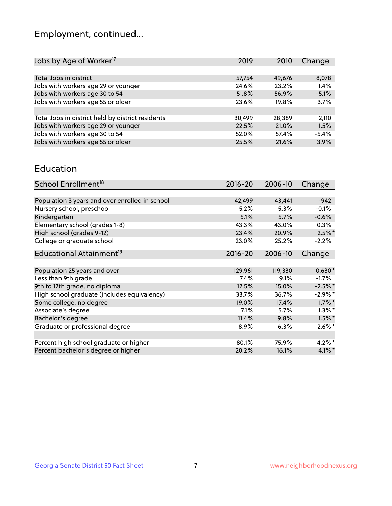## Employment, continued...

| Jobs by Age of Worker <sup>17</sup>               | 2019   | 2010   | Change  |
|---------------------------------------------------|--------|--------|---------|
|                                                   |        |        |         |
| Total Jobs in district                            | 57,754 | 49,676 | 8,078   |
| Jobs with workers age 29 or younger               | 24.6%  | 23.2%  | 1.4%    |
| Jobs with workers age 30 to 54                    | 51.8%  | 56.9%  | $-5.1%$ |
| Jobs with workers age 55 or older                 | 23.6%  | 19.8%  | 3.7%    |
|                                                   |        |        |         |
| Total Jobs in district held by district residents | 30,499 | 28.389 | 2,110   |
| Jobs with workers age 29 or younger               | 22.5%  | 21.0%  | 1.5%    |
| Jobs with workers age 30 to 54                    | 52.0%  | 57.4%  | $-5.4%$ |
| Jobs with workers age 55 or older                 | 25.5%  | 21.6%  | 3.9%    |
|                                                   |        |        |         |

#### Education

| School Enrollment <sup>18</sup>                | $2016 - 20$ | 2006-10 | Change    |
|------------------------------------------------|-------------|---------|-----------|
|                                                |             |         |           |
| Population 3 years and over enrolled in school | 42,499      | 43,441  | $-942$    |
| Nursery school, preschool                      | 5.2%        | 5.3%    | $-0.1%$   |
| Kindergarten                                   | 5.1%        | 5.7%    | $-0.6%$   |
| Elementary school (grades 1-8)                 | 43.3%       | 43.0%   | 0.3%      |
| High school (grades 9-12)                      | 23.4%       | 20.9%   | $2.5\%$ * |
| College or graduate school                     | 23.0%       | 25.2%   | $-2.2%$   |
| Educational Attainment <sup>19</sup>           | $2016 - 20$ | 2006-10 | Change    |
|                                                |             |         |           |
| Population 25 years and over                   | 129,961     | 119,330 | 10,630*   |
| Less than 9th grade                            | 7.4%        | 9.1%    | $-1.7%$   |
| 9th to 12th grade, no diploma                  | 12.5%       | 15.0%   | $-2.5%$ * |
| High school graduate (includes equivalency)    | 33.7%       | 36.7%   | $-2.9%$ * |
| Some college, no degree                        | 19.0%       | 17.4%   | $1.7\%$ * |
| Associate's degree                             | 7.1%        | 5.7%    | $1.3\%$ * |
| Bachelor's degree                              | 11.4%       | 9.8%    | $1.5\%$ * |
| Graduate or professional degree                | 8.9%        | 6.3%    | $2.6\%$ * |
|                                                |             |         |           |
| Percent high school graduate or higher         | 80.1%       | 75.9%   | $4.2\%$ * |
| Percent bachelor's degree or higher            | 20.2%       | 16.1%   | $4.1\%$ * |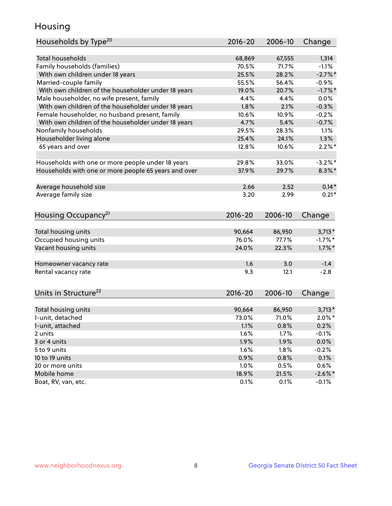## Housing

| Households by Type <sup>20</sup>                     | 2016-20     | 2006-10 | Change     |
|------------------------------------------------------|-------------|---------|------------|
|                                                      |             |         |            |
| <b>Total households</b>                              | 68,869      | 67,555  | 1,314      |
| Family households (families)                         | 70.5%       | 71.7%   | $-1.1%$    |
| With own children under 18 years                     | 25.5%       | 28.2%   | $-2.7%$    |
| Married-couple family                                | 55.5%       | 56.4%   | $-0.9%$    |
| With own children of the householder under 18 years  | 19.0%       | 20.7%   | $-1.7%$ *  |
| Male householder, no wife present, family            | 4.4%        | 4.4%    | 0.0%       |
| With own children of the householder under 18 years  | 1.8%        | 2.1%    | $-0.3%$    |
| Female householder, no husband present, family       | 10.6%       | 10.9%   | $-0.2%$    |
| With own children of the householder under 18 years  | 4.7%        | 5.4%    | $-0.7%$    |
| Nonfamily households                                 | 29.5%       | 28.3%   | 1.1%       |
| Householder living alone                             | 25.4%       | 24.1%   | 1.3%       |
| 65 years and over                                    | 12.8%       | 10.6%   | $2.2\%$ *  |
| Households with one or more people under 18 years    | 29.8%       | 33.0%   | $-3.2\%$ * |
| Households with one or more people 65 years and over | 37.9%       | 29.7%   | $8.3\%$ *  |
| Average household size                               | 2.66        | 2.52    | $0.14*$    |
| Average family size                                  | 3.20        | 2.99    | $0.21*$    |
|                                                      |             |         |            |
| Housing Occupancy <sup>21</sup>                      | $2016 - 20$ | 2006-10 | Change     |
| Total housing units                                  | 90,664      | 86,950  | $3,713*$   |
| Occupied housing units                               | 76.0%       | 77.7%   | $-1.7%$ *  |
| Vacant housing units                                 | 24.0%       | 22.3%   | $1.7\%$ *  |
|                                                      |             |         |            |
| Homeowner vacancy rate                               | 1.6         | 3.0     | $-1.4$     |
| Rental vacancy rate                                  | 9.3         | 12.1    | $-2.8$     |
| Units in Structure <sup>22</sup>                     | 2016-20     | 2006-10 | Change     |
| Total housing units                                  | 90,664      | 86,950  | $3,713*$   |
| 1-unit, detached                                     | 73.0%       | 71.0%   | $2.0\%$ *  |
| 1-unit, attached                                     | 1.1%        | 0.8%    | 0.2%       |
| 2 units                                              | 1.6%        | 1.7%    | $-0.1%$    |
| 3 or 4 units                                         | 1.9%        | 1.9%    | 0.0%       |
| 5 to 9 units                                         | 1.6%        | 1.8%    | $-0.2%$    |
|                                                      |             |         |            |
| 10 to 19 units                                       | 0.9%        | 0.8%    | 0.1%       |
| 20 or more units                                     | 1.0%        | 0.5%    | 0.6%       |
| Mobile home                                          | 18.9%       | 21.5%   | $-2.6\%$ * |
| Boat, RV, van, etc.                                  | 0.1%        | 0.1%    | $-0.1%$    |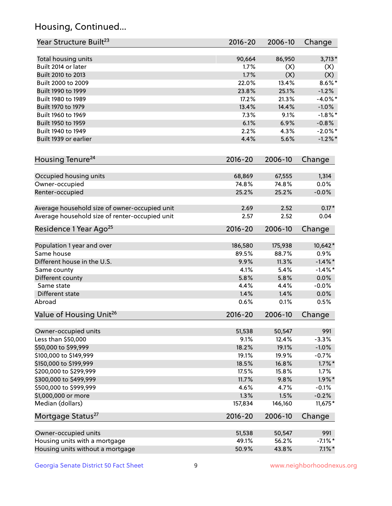## Housing, Continued...

| Year Structure Built <sup>23</sup>             | 2016-20     | 2006-10 | Change     |
|------------------------------------------------|-------------|---------|------------|
| Total housing units                            | 90,664      | 86,950  | $3,713*$   |
| Built 2014 or later                            | 1.7%        | (X)     | (X)        |
| Built 2010 to 2013                             | 1.7%        | (X)     | (X)        |
| Built 2000 to 2009                             | 22.0%       | 13.4%   | $8.6\%$ *  |
| Built 1990 to 1999                             | 23.8%       | 25.1%   | $-1.2%$    |
| Built 1980 to 1989                             | 17.2%       | 21.3%   | $-4.0\%$ * |
| Built 1970 to 1979                             | 13.4%       | 14.4%   | $-1.0%$    |
| Built 1960 to 1969                             | 7.3%        | 9.1%    | $-1.8\%$ * |
| Built 1950 to 1959                             | 6.1%        | 6.9%    | $-0.8%$    |
| Built 1940 to 1949                             | 2.2%        | 4.3%    | $-2.0\%$ * |
| Built 1939 or earlier                          | 4.4%        | 5.6%    | $-1.2%$ *  |
| Housing Tenure <sup>24</sup>                   | $2016 - 20$ | 2006-10 | Change     |
|                                                |             |         |            |
| Occupied housing units                         | 68,869      | 67,555  | 1,314      |
| Owner-occupied                                 | 74.8%       | 74.8%   | 0.0%       |
| Renter-occupied                                | 25.2%       | 25.2%   | $-0.0%$    |
| Average household size of owner-occupied unit  | 2.69        | 2.52    | $0.17*$    |
| Average household size of renter-occupied unit | 2.57        | 2.52    | 0.04       |
| Residence 1 Year Ago <sup>25</sup>             | $2016 - 20$ | 2006-10 | Change     |
| Population 1 year and over                     | 186,580     | 175,938 | 10,642*    |
| Same house                                     | 89.5%       | 88.7%   | 0.9%       |
| Different house in the U.S.                    | 9.9%        | 11.3%   | $-1.4\%$ * |
| Same county                                    | 4.1%        | 5.4%    | $-1.4\%$ * |
| Different county                               | 5.8%        | 5.8%    | 0.0%       |
| Same state                                     | 4.4%        | 4.4%    | $-0.0%$    |
| Different state                                | 1.4%        | 1.4%    | 0.0%       |
| Abroad                                         | 0.6%        | 0.1%    | 0.5%       |
| Value of Housing Unit <sup>26</sup>            | $2016 - 20$ | 2006-10 | Change     |
|                                                |             |         |            |
| Owner-occupied units                           | 51,538      | 50,547  | 991        |
| Less than \$50,000                             | 9.1%        | 12.4%   | $-3.3%$    |
| \$50,000 to \$99,999                           | 18.2%       | 19.1%   | $-1.0%$    |
| \$100,000 to \$149,999                         | 19.1%       | 19.9%   | $-0.7%$    |
| \$150,000 to \$199,999                         | 18.5%       | 16.8%   | $1.7\%$ *  |
| \$200,000 to \$299,999                         | 17.5%       | 15.8%   | 1.7%       |
| \$300,000 to \$499,999                         | 11.7%       | 9.8%    | $1.9\%$ *  |
| \$500,000 to \$999,999                         | 4.6%        | 4.7%    | $-0.1%$    |
| \$1,000,000 or more                            | 1.3%        | 1.5%    | $-0.2%$    |
| Median (dollars)                               | 157,834     | 146,160 | $11,675*$  |
| Mortgage Status <sup>27</sup>                  | $2016 - 20$ | 2006-10 | Change     |
| Owner-occupied units                           | 51,538      | 50,547  | 991        |
| Housing units with a mortgage                  | 49.1%       | 56.2%   | $-7.1\%$ * |
| Housing units without a mortgage               | 50.9%       | 43.8%   | $7.1\%$ *  |
|                                                |             |         |            |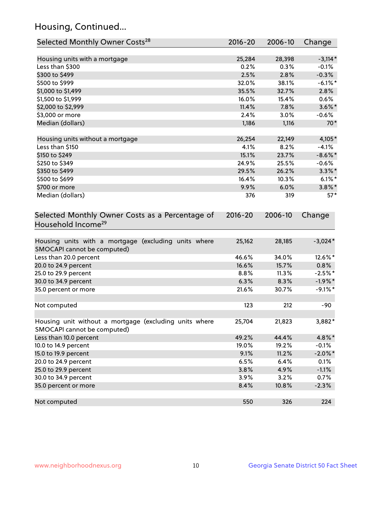## Housing, Continued...

| Selected Monthly Owner Costs <sup>28</sup>                                            | $2016 - 20$ | 2006-10 | Change     |
|---------------------------------------------------------------------------------------|-------------|---------|------------|
| Housing units with a mortgage                                                         | 25,284      | 28,398  | $-3,114*$  |
| Less than \$300                                                                       | 0.2%        | 0.3%    | $-0.1%$    |
| \$300 to \$499                                                                        | 2.5%        | 2.8%    | $-0.3%$    |
| \$500 to \$999                                                                        | 32.0%       | 38.1%   | $-6.1\%$ * |
| \$1,000 to \$1,499                                                                    | 35.5%       | 32.7%   | 2.8%       |
| \$1,500 to \$1,999                                                                    | 16.0%       | 15.4%   | 0.6%       |
| \$2,000 to \$2,999                                                                    | 11.4%       | 7.8%    | $3.6\%$ *  |
| \$3,000 or more                                                                       | 2.4%        | 3.0%    | $-0.6\%$   |
| Median (dollars)                                                                      | 1,186       | 1,116   | $70*$      |
| Housing units without a mortgage                                                      | 26,254      | 22,149  | 4,105*     |
| Less than \$150                                                                       | 4.1%        | 8.2%    | $-4.1%$    |
| \$150 to \$249                                                                        | 15.1%       | 23.7%   | $-8.6\%$ * |
| \$250 to \$349                                                                        | 24.9%       | 25.5%   | $-0.6%$    |
| \$350 to \$499                                                                        | 29.5%       | 26.2%   | $3.3\%$ *  |
| \$500 to \$699                                                                        | 16.4%       | 10.3%   | $6.1\%$ *  |
| \$700 or more                                                                         | 9.9%        | 6.0%    | $3.8\%$ *  |
| Median (dollars)                                                                      | 376         | 319     | $57*$      |
| Household Income <sup>29</sup>                                                        |             |         |            |
| Housing units with a mortgage (excluding units where<br>SMOCAPI cannot be computed)   | 25,162      | 28,185  | $-3,024*$  |
| Less than 20.0 percent                                                                | 46.6%       | 34.0%   | 12.6%*     |
| 20.0 to 24.9 percent                                                                  | 16.6%       | 15.7%   | 0.8%       |
| 25.0 to 29.9 percent                                                                  | 8.8%        | 11.3%   | $-2.5%$ *  |
| 30.0 to 34.9 percent                                                                  | 6.3%        | 8.3%    | $-1.9\%$ * |
| 35.0 percent or more                                                                  | 21.6%       | 30.7%   | $-9.1\%$ * |
| Not computed                                                                          | 123         | 212     | -90        |
| Housing unit without a mortgage (excluding units where<br>SMOCAPI cannot be computed) | 25,704      | 21,823  | 3,882*     |
| Less than 10.0 percent                                                                | 49.2%       | 44.4%   | 4.8%*      |
| 10.0 to 14.9 percent                                                                  | 19.0%       | 19.2%   | $-0.1%$    |
| 15.0 to 19.9 percent                                                                  | 9.1%        | 11.2%   | $-2.0\%$ * |
| 20.0 to 24.9 percent                                                                  | 6.5%        | 6.4%    | 0.1%       |
| 25.0 to 29.9 percent                                                                  | 3.8%        | 4.9%    | $-1.1%$    |
| 30.0 to 34.9 percent                                                                  | 3.9%        | 3.2%    | 0.7%       |
| 35.0 percent or more                                                                  | 8.4%        | 10.8%   | $-2.3%$    |
| Not computed                                                                          | 550         | 326     | 224        |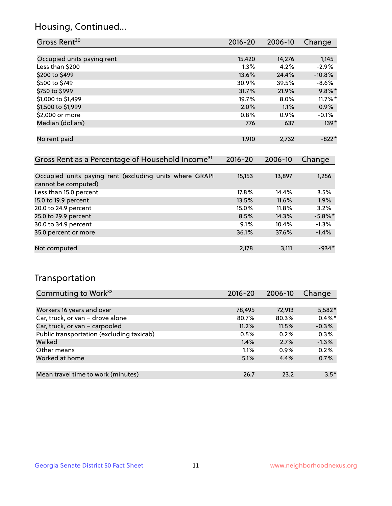## Housing, Continued...

| Gross Rent <sup>30</sup>                                     | 2016-20     | 2006-10 | Change     |
|--------------------------------------------------------------|-------------|---------|------------|
|                                                              |             |         |            |
| Occupied units paying rent                                   | 15,420      | 14,276  | 1,145      |
| Less than \$200                                              | $1.3\%$     | 4.2%    | $-2.9%$    |
| \$200 to \$499                                               | 13.6%       | 24.4%   | $-10.8%$   |
| \$500 to \$749                                               | 30.9%       | 39.5%   | $-8.6%$    |
| \$750 to \$999                                               | 31.7%       | 21.9%   | $9.8\%$ *  |
| \$1,000 to \$1,499                                           | 19.7%       | 8.0%    | $11.7\%$ * |
| \$1,500 to \$1,999                                           | 2.0%        | 1.1%    | 0.9%       |
| \$2,000 or more                                              | 0.8%        | 0.9%    | $-0.1%$    |
| Median (dollars)                                             | 776         | 637     | $139*$     |
|                                                              |             |         |            |
| No rent paid                                                 | 1,910       | 2,732   | $-822*$    |
|                                                              |             |         |            |
| Gross Rent as a Percentage of Household Income <sup>31</sup> | $2016 - 20$ | 2006-10 | Change     |
|                                                              |             |         |            |

| Occupied units paying rent (excluding units where GRAPI<br>cannot be computed) | 15,153 | 13,897 | 1,256      |
|--------------------------------------------------------------------------------|--------|--------|------------|
| Less than 15.0 percent                                                         | 17.8%  | 14.4%  | 3.5%       |
| 15.0 to 19.9 percent                                                           | 13.5%  | 11.6%  | 1.9%       |
| 20.0 to 24.9 percent                                                           | 15.0%  | 11.8%  | 3.2%       |
| 25.0 to 29.9 percent                                                           | 8.5%   | 14.3%  | $-5.8\%$ * |
| 30.0 to 34.9 percent                                                           | 9.1%   | 10.4%  | $-1.3%$    |
| 35.0 percent or more                                                           | 36.1%  | 37.6%  | $-1.4%$    |
|                                                                                |        |        |            |
| Not computed                                                                   | 2,178  | 3,111  | $-934*$    |

## Transportation

| Commuting to Work <sup>32</sup>           | 2016-20 | 2006-10 | Change    |
|-------------------------------------------|---------|---------|-----------|
|                                           |         |         |           |
| Workers 16 years and over                 | 78,495  | 72,913  | 5,582*    |
| Car, truck, or van - drove alone          | 80.7%   | 80.3%   | $0.4\%$ * |
| Car, truck, or van - carpooled            | 11.2%   | 11.5%   | $-0.3%$   |
| Public transportation (excluding taxicab) | 0.5%    | 0.2%    | 0.3%      |
| Walked                                    | 1.4%    | 2.7%    | $-1.3%$   |
| Other means                               | 1.1%    | $0.9\%$ | 0.2%      |
| Worked at home                            | 5.1%    | 4.4%    | 0.7%      |
|                                           |         |         |           |
| Mean travel time to work (minutes)        | 26.7    | 23.2    | $3.5*$    |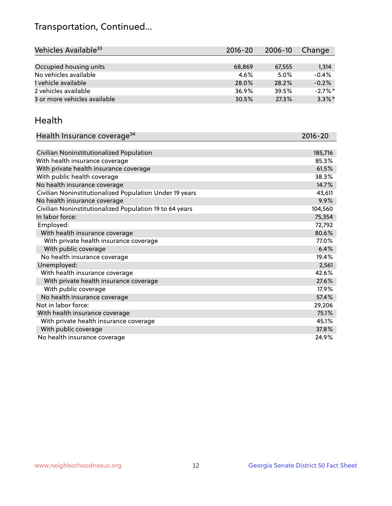## Transportation, Continued...

| Vehicles Available <sup>33</sup> | $2016 - 20$ | $2006 - 10$ | Change     |
|----------------------------------|-------------|-------------|------------|
|                                  |             |             |            |
| Occupied housing units           | 68,869      | 67,555      | 1,314      |
| No vehicles available            | $4.6\%$     | 5.0%        | $-0.4%$    |
| 1 vehicle available              | 28.0%       | 28.2%       | $-0.2%$    |
| 2 vehicles available             | 36.9%       | 39.5%       | $-2.7\%$ * |
| 3 or more vehicles available     | 30.5%       | 27.3%       | $3.3\%$ *  |

#### Health

| Health Insurance coverage <sup>34</sup>                 | 2016-20 |
|---------------------------------------------------------|---------|
|                                                         |         |
| Civilian Noninstitutionalized Population                | 185,716 |
| With health insurance coverage                          | 85.3%   |
| With private health insurance coverage                  | 61.5%   |
| With public health coverage                             | 38.3%   |
| No health insurance coverage                            | 14.7%   |
| Civilian Noninstitutionalized Population Under 19 years | 43,611  |
| No health insurance coverage                            | 9.9%    |
| Civilian Noninstitutionalized Population 19 to 64 years | 104,560 |
| In labor force:                                         | 75,354  |
| Employed:                                               | 72,792  |
| With health insurance coverage                          | 80.6%   |
| With private health insurance coverage                  | 77.0%   |
| With public coverage                                    | 6.4%    |
| No health insurance coverage                            | 19.4%   |
| Unemployed:                                             | 2,561   |
| With health insurance coverage                          | 42.6%   |
| With private health insurance coverage                  | 27.6%   |
| With public coverage                                    | 17.9%   |
| No health insurance coverage                            | 57.4%   |
| Not in labor force:                                     | 29,206  |
| With health insurance coverage                          | 75.1%   |
| With private health insurance coverage                  | 45.1%   |
| With public coverage                                    | 37.8%   |
| No health insurance coverage                            | 24.9%   |